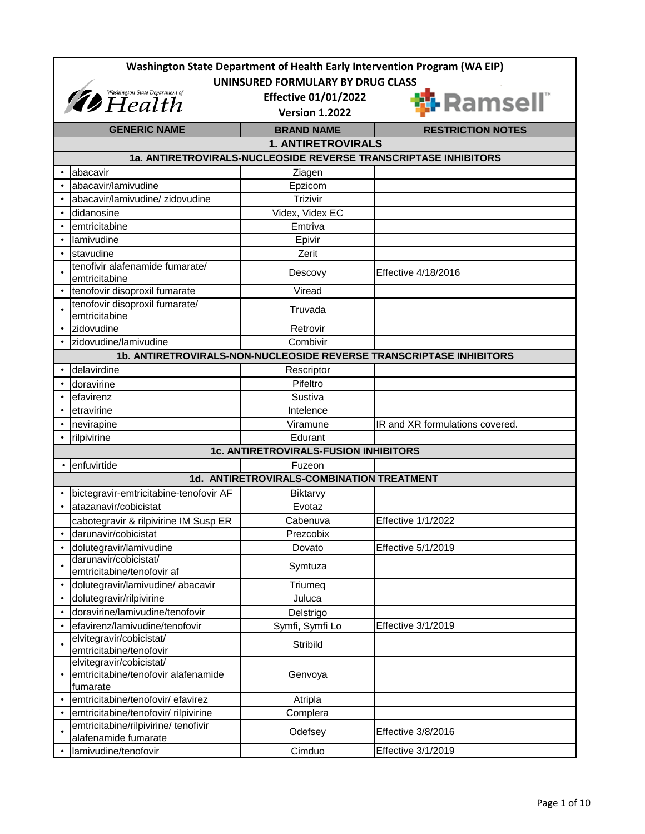| Washington State Department of Health Early Intervention Program (WA EIP) |                                                                             |                                                                 |                                                                     |
|---------------------------------------------------------------------------|-----------------------------------------------------------------------------|-----------------------------------------------------------------|---------------------------------------------------------------------|
| UNINSURED FORMULARY BY DRUG CLASS                                         |                                                                             |                                                                 |                                                                     |
| <i>Thealth</i> Washington State Department of                             |                                                                             | <b>Effective 01/01/2022</b>                                     |                                                                     |
|                                                                           |                                                                             | <b>Version 1.2022</b>                                           | <b>i</b> Ramsell®                                                   |
|                                                                           | <b>GENERIC NAME</b>                                                         | <b>BRAND NAME</b>                                               | <b>RESTRICTION NOTES</b>                                            |
|                                                                           |                                                                             | <b>1. ANTIRETROVIRALS</b>                                       |                                                                     |
|                                                                           |                                                                             | 1a. ANTIRETROVIRALS-NUCLEOSIDE REVERSE TRANSCRIPTASE INHIBITORS |                                                                     |
|                                                                           | abacavir                                                                    | Ziagen                                                          |                                                                     |
|                                                                           | abacavir/lamivudine                                                         | Epzicom                                                         |                                                                     |
|                                                                           | abacavir/lamivudine/ zidovudine                                             | Trizivir                                                        |                                                                     |
|                                                                           | didanosine                                                                  | Videx, Videx EC                                                 |                                                                     |
|                                                                           | emtricitabine                                                               | Emtriva                                                         |                                                                     |
|                                                                           | lamivudine                                                                  | Epivir                                                          |                                                                     |
|                                                                           | stavudine                                                                   | Zerit                                                           |                                                                     |
|                                                                           | tenofivir alafenamide fumarate/<br>emtricitabine                            | Descovy                                                         | Effective 4/18/2016                                                 |
|                                                                           | tenofovir disoproxil fumarate                                               | Viread                                                          |                                                                     |
|                                                                           | tenofovir disoproxil fumarate/<br>emtricitabine                             | Truvada                                                         |                                                                     |
|                                                                           | zidovudine                                                                  | Retrovir                                                        |                                                                     |
|                                                                           | zidovudine/lamivudine                                                       | Combivir                                                        |                                                                     |
|                                                                           |                                                                             |                                                                 | 1b. ANTIRETROVIRALS-NON-NUCLEOSIDE REVERSE TRANSCRIPTASE INHIBITORS |
|                                                                           | delavirdine                                                                 | Rescriptor                                                      |                                                                     |
|                                                                           | doravirine                                                                  | Pifeltro                                                        |                                                                     |
|                                                                           | efavirenz                                                                   | Sustiva                                                         |                                                                     |
|                                                                           | etravirine                                                                  | Intelence                                                       |                                                                     |
|                                                                           | nevirapine                                                                  | Viramune                                                        | IR and XR formulations covered.                                     |
|                                                                           | rilpivirine                                                                 | Edurant                                                         |                                                                     |
|                                                                           |                                                                             | 1c. ANTIRETROVIRALS-FUSION INHIBITORS                           |                                                                     |
|                                                                           | enfuvirtide                                                                 | Fuzeon                                                          |                                                                     |
|                                                                           |                                                                             | 1d. ANTIRETROVIRALS-COMBINATION TREATMENT                       |                                                                     |
|                                                                           | bictegravir-emtricitabine-tenofovir AF                                      | Biktarvy                                                        |                                                                     |
|                                                                           | atazanavir/cobicistat                                                       | Evotaz                                                          |                                                                     |
|                                                                           | cabotegravir & rilpivirine IM Susp ER                                       | Cabenuva                                                        | <b>Effective 1/1/2022</b>                                           |
|                                                                           | darunavir/cobicistat                                                        | Prezcobix                                                       |                                                                     |
|                                                                           | dolutegravir/lamivudine                                                     | Dovato                                                          | Effective 5/1/2019                                                  |
|                                                                           | darunavir/cobicistat/<br>emtricitabine/tenofovir af                         | Symtuza                                                         |                                                                     |
|                                                                           | dolutegravir/lamivudine/ abacavir                                           | Triumeq                                                         |                                                                     |
| $\bullet$                                                                 | dolutegravir/rilpivirine                                                    | Juluca                                                          |                                                                     |
|                                                                           | doravirine/lamivudine/tenofovir                                             | Delstrigo                                                       |                                                                     |
| $\bullet$                                                                 | efavirenz/lamivudine/tenofovir                                              | Symfi, Symfi Lo                                                 | Effective 3/1/2019                                                  |
|                                                                           | elvitegravir/cobicistat/<br>emtricitabine/tenofovir                         | Stribild                                                        |                                                                     |
|                                                                           | elvitegravir/cobicistat/<br>emtricitabine/tenofovir alafenamide<br>fumarate | Genvoya                                                         |                                                                     |
|                                                                           | emtricitabine/tenofovir/ efavirez                                           | Atripla                                                         |                                                                     |
|                                                                           | emtricitabine/tenofovir/ rilpivirine                                        | Complera                                                        |                                                                     |
|                                                                           | emtricitabine/rilpivirine/ tenofivir<br>alafenamide fumarate                | Odefsey                                                         | Effective 3/8/2016                                                  |
|                                                                           | lamivudine/tenofovir                                                        | Cimduo                                                          | Effective 3/1/2019                                                  |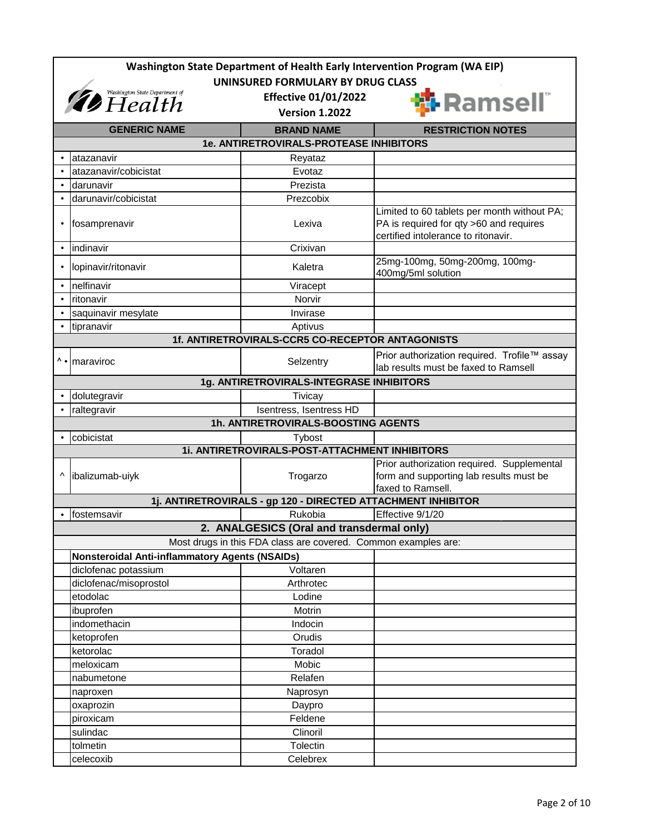| Washington State Department of Health Early Intervention Program (WA EIP)<br>UNINSURED FORMULARY BY DRUG CLASS |                                                                                                                                      |                                                                |                                                                                                                               |  |
|----------------------------------------------------------------------------------------------------------------|--------------------------------------------------------------------------------------------------------------------------------------|----------------------------------------------------------------|-------------------------------------------------------------------------------------------------------------------------------|--|
|                                                                                                                | <i><b><i>Ab</i></b> Health Cepartment of <b>Abb</b> Health</i><br><b>Effective 01/01/2022</b><br>i-Ramsell®<br><b>Version 1.2022</b> |                                                                |                                                                                                                               |  |
|                                                                                                                | <b>GENERIC NAME</b>                                                                                                                  | <b>BRAND NAME</b>                                              | <b>RESTRICTION NOTES</b>                                                                                                      |  |
|                                                                                                                |                                                                                                                                      | 1e. ANTIRETROVIRALS-PROTEASE INHIBITORS                        |                                                                                                                               |  |
|                                                                                                                | atazanavir                                                                                                                           | Reyataz                                                        |                                                                                                                               |  |
|                                                                                                                | atazanavir/cobicistat                                                                                                                | Evotaz                                                         |                                                                                                                               |  |
|                                                                                                                | darunavir                                                                                                                            | Prezista                                                       |                                                                                                                               |  |
|                                                                                                                | darunavir/cobicistat                                                                                                                 | Prezcobix                                                      |                                                                                                                               |  |
| $\bullet$                                                                                                      | fosamprenavir                                                                                                                        | Lexiva                                                         | Limited to 60 tablets per month without PA;<br>PA is required for qty >60 and requires<br>certified intolerance to ritonavir. |  |
| $\bullet$                                                                                                      | indinavir                                                                                                                            | Crixivan                                                       |                                                                                                                               |  |
| $\bullet$                                                                                                      | lopinavir/ritonavir                                                                                                                  | Kaletra                                                        | 25mg-100mg, 50mg-200mg, 100mg-<br>400mg/5ml solution                                                                          |  |
| $\bullet$                                                                                                      | nelfinavir                                                                                                                           | Viracept                                                       |                                                                                                                               |  |
| $\bullet$                                                                                                      | ritonavir                                                                                                                            | Norvir                                                         |                                                                                                                               |  |
|                                                                                                                | saquinavir mesylate                                                                                                                  | Invirase                                                       |                                                                                                                               |  |
|                                                                                                                | tipranavir                                                                                                                           | Aptivus                                                        |                                                                                                                               |  |
|                                                                                                                |                                                                                                                                      | 1f. ANTIRETROVIRALS-CCR5 CO-RECEPTOR ANTAGONISTS               |                                                                                                                               |  |
| Λ.                                                                                                             | maraviroc                                                                                                                            | Selzentry                                                      | Prior authorization required. Trofile™ assay<br>lab results must be faxed to Ramsell                                          |  |
|                                                                                                                |                                                                                                                                      | 1g. ANTIRETROVIRALS-INTEGRASE INHIBITORS                       |                                                                                                                               |  |
|                                                                                                                | dolutegravir                                                                                                                         | Tivicay                                                        |                                                                                                                               |  |
|                                                                                                                | raltegravir                                                                                                                          | Isentress, Isentress HD                                        |                                                                                                                               |  |
|                                                                                                                |                                                                                                                                      | 1h. ANTIRETROVIRALS-BOOSTING AGENTS                            |                                                                                                                               |  |
|                                                                                                                | cobicistat                                                                                                                           | Tybost                                                         |                                                                                                                               |  |
|                                                                                                                |                                                                                                                                      | 1i. ANTIRETROVIRALS-POST-ATTACHMENT INHIBITORS                 |                                                                                                                               |  |
| ٨                                                                                                              | ibalizumab-uiyk                                                                                                                      | Trogarzo                                                       | Prior authorization required. Supplemental<br>form and supporting lab results must be<br>faxed to Ramsell.                    |  |
|                                                                                                                |                                                                                                                                      | 1j. ANTIRETROVIRALS - gp 120 - DIRECTED ATTACHMENT INHIBITOR   |                                                                                                                               |  |
|                                                                                                                | fostemsavir                                                                                                                          | Rukobia                                                        | Effective 9/1/20                                                                                                              |  |
|                                                                                                                |                                                                                                                                      | 2. ANALGESICS (Oral and transdermal only)                      |                                                                                                                               |  |
|                                                                                                                |                                                                                                                                      | Most drugs in this FDA class are covered. Common examples are: |                                                                                                                               |  |
|                                                                                                                | <b>Nonsteroidal Anti-inflammatory Agents (NSAIDs)</b>                                                                                |                                                                |                                                                                                                               |  |
|                                                                                                                | diclofenac potassium                                                                                                                 | Voltaren                                                       |                                                                                                                               |  |
|                                                                                                                | diclofenac/misoprostol                                                                                                               | Arthrotec                                                      |                                                                                                                               |  |
|                                                                                                                | etodolac                                                                                                                             | Lodine                                                         |                                                                                                                               |  |
|                                                                                                                | ibuprofen                                                                                                                            | Motrin                                                         |                                                                                                                               |  |
|                                                                                                                | indomethacin                                                                                                                         | Indocin<br>Orudis                                              |                                                                                                                               |  |
|                                                                                                                | ketoprofen<br>ketorolac                                                                                                              | Toradol                                                        |                                                                                                                               |  |
|                                                                                                                | meloxicam                                                                                                                            | Mobic                                                          |                                                                                                                               |  |
|                                                                                                                | nabumetone                                                                                                                           | Relafen                                                        |                                                                                                                               |  |
|                                                                                                                | naproxen                                                                                                                             | Naprosyn                                                       |                                                                                                                               |  |
|                                                                                                                | oxaprozin                                                                                                                            | Daypro                                                         |                                                                                                                               |  |
|                                                                                                                | piroxicam                                                                                                                            | Feldene                                                        |                                                                                                                               |  |
|                                                                                                                | sulindac                                                                                                                             | Clinoril                                                       |                                                                                                                               |  |
|                                                                                                                | tolmetin                                                                                                                             | Tolectin                                                       |                                                                                                                               |  |
|                                                                                                                | celecoxib                                                                                                                            | Celebrex                                                       |                                                                                                                               |  |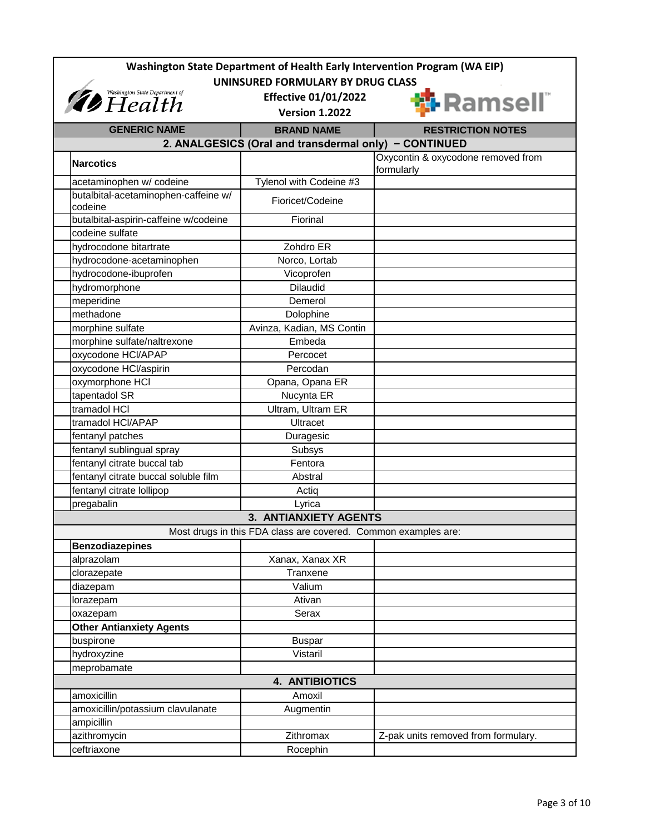| Washington State Department of Health Early Intervention Program (WA EIP) |                                                                |                                     |  |
|---------------------------------------------------------------------------|----------------------------------------------------------------|-------------------------------------|--|
| UNINSURED FORMULARY BY DRUG CLASS                                         |                                                                |                                     |  |
| Washington State Department of<br><i>Health</i>                           | <b>Effective 01/01/2022</b><br><b>Version 1.2022</b>           | <b>T</b> Ramsell"                   |  |
| <b>GENERIC NAME</b>                                                       | <b>BRAND NAME</b>                                              | <b>RESTRICTION NOTES</b>            |  |
|                                                                           | 2. ANALGESICS (Oral and transdermal only) - CONTINUED          |                                     |  |
| <b>Narcotics</b>                                                          |                                                                | Oxycontin & oxycodone removed from  |  |
|                                                                           |                                                                | formularly                          |  |
| acetaminophen w/ codeine                                                  | Tylenol with Codeine #3                                        |                                     |  |
| butalbital-acetaminophen-caffeine w/<br>codeine                           | Fioricet/Codeine                                               |                                     |  |
| butalbital-aspirin-caffeine w/codeine                                     | Fiorinal                                                       |                                     |  |
| codeine sulfate                                                           |                                                                |                                     |  |
| hydrocodone bitartrate                                                    | Zohdro ER                                                      |                                     |  |
| hydrocodone-acetaminophen                                                 | Norco, Lortab                                                  |                                     |  |
| hydrocodone-ibuprofen                                                     | Vicoprofen                                                     |                                     |  |
| hydromorphone                                                             | <b>Dilaudid</b>                                                |                                     |  |
| meperidine                                                                | Demerol                                                        |                                     |  |
| methadone                                                                 | Dolophine                                                      |                                     |  |
| morphine sulfate                                                          | Avinza, Kadian, MS Contin                                      |                                     |  |
| morphine sulfate/naltrexone                                               | Embeda                                                         |                                     |  |
| oxycodone HCI/APAP                                                        | Percocet                                                       |                                     |  |
| oxycodone HCl/aspirin                                                     | Percodan                                                       |                                     |  |
| oxymorphone HCI                                                           | Opana, Opana ER                                                |                                     |  |
| tapentadol SR                                                             | Nucynta ER                                                     |                                     |  |
| tramadol HCI                                                              | Ultram, Ultram ER                                              |                                     |  |
| tramadol HCI/APAP                                                         | <b>Ultracet</b>                                                |                                     |  |
| fentanyl patches                                                          | Duragesic                                                      |                                     |  |
| fentanyl sublingual spray                                                 | Subsys                                                         |                                     |  |
| fentanyl citrate buccal tab                                               | Fentora                                                        |                                     |  |
| fentanyl citrate buccal soluble film                                      | Abstral                                                        |                                     |  |
| fentanyl citrate lollipop                                                 | Actig                                                          |                                     |  |
| pregabalin                                                                | Lyrica                                                         |                                     |  |
|                                                                           | <b>3. ANTIANXIETY AGENTS</b>                                   |                                     |  |
|                                                                           | Most drugs in this FDA class are covered. Common examples are: |                                     |  |
| <b>Benzodiazepines</b>                                                    |                                                                |                                     |  |
| alprazolam                                                                | Xanax, Xanax XR                                                |                                     |  |
| clorazepate                                                               | Tranxene                                                       |                                     |  |
| diazepam                                                                  | Valium                                                         |                                     |  |
| lorazepam                                                                 | Ativan                                                         |                                     |  |
| oxazepam                                                                  | Serax                                                          |                                     |  |
| <b>Other Antianxiety Agents</b>                                           |                                                                |                                     |  |
| buspirone                                                                 | <b>Buspar</b>                                                  |                                     |  |
| hydroxyzine                                                               | Vistaril                                                       |                                     |  |
| meprobamate                                                               |                                                                |                                     |  |
|                                                                           | 4. ANTIBIOTICS                                                 |                                     |  |
| amoxicillin                                                               | Amoxil                                                         |                                     |  |
| amoxicillin/potassium clavulanate                                         | Augmentin                                                      |                                     |  |
| ampicillin                                                                |                                                                |                                     |  |
| azithromycin                                                              | Zithromax                                                      | Z-pak units removed from formulary. |  |
| ceftriaxone                                                               | Rocephin                                                       |                                     |  |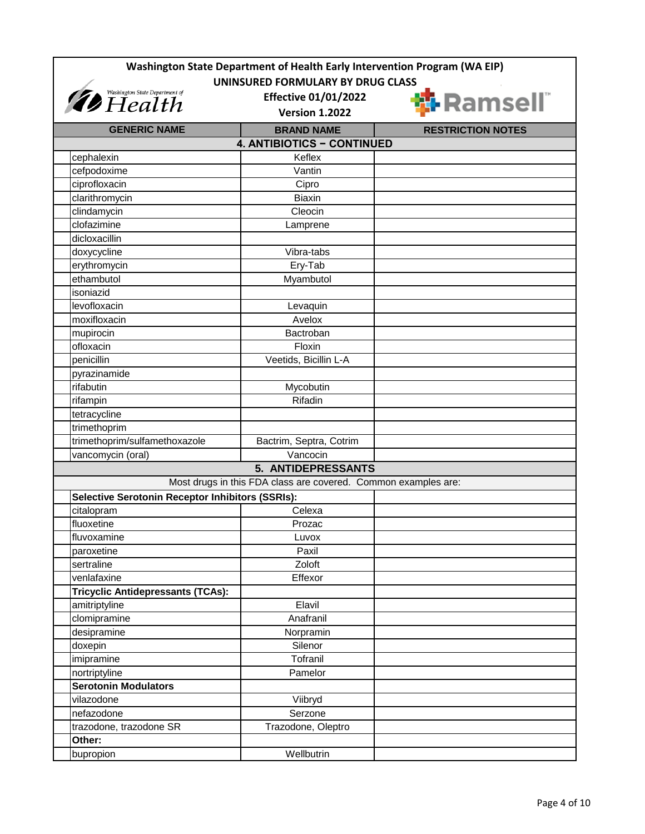| Washington State Department of Health Early Intervention Program (WA EIP) |                                                                |                          |  |
|---------------------------------------------------------------------------|----------------------------------------------------------------|--------------------------|--|
| UNINSURED FORMULARY BY DRUG CLASS                                         |                                                                |                          |  |
| <i>Thealth</i> Washington State Department of                             | <b>Effective 01/01/2022</b>                                    |                          |  |
|                                                                           | <b>Version 1.2022</b>                                          |                          |  |
| <b>GENERIC NAME</b>                                                       | <b>BRAND NAME</b>                                              | <b>RESTRICTION NOTES</b> |  |
|                                                                           | <b>4. ANTIBIOTICS - CONTINUED</b>                              |                          |  |
| cephalexin                                                                | Keflex                                                         |                          |  |
| cefpodoxime                                                               | Vantin                                                         |                          |  |
| ciprofloxacin                                                             | Cipro                                                          |                          |  |
| clarithromycin                                                            | <b>Biaxin</b>                                                  |                          |  |
| clindamycin                                                               | Cleocin                                                        |                          |  |
| clofazimine                                                               | Lamprene                                                       |                          |  |
| dicloxacillin                                                             |                                                                |                          |  |
| doxycycline                                                               | Vibra-tabs                                                     |                          |  |
| erythromycin                                                              | Ery-Tab                                                        |                          |  |
| ethambutol                                                                | Myambutol                                                      |                          |  |
| isoniazid                                                                 |                                                                |                          |  |
| levofloxacin                                                              | Levaquin                                                       |                          |  |
| moxifloxacin                                                              | Avelox                                                         |                          |  |
| mupirocin                                                                 | Bactroban                                                      |                          |  |
| ofloxacin                                                                 | Floxin                                                         |                          |  |
| penicillin                                                                | Veetids, Bicillin L-A                                          |                          |  |
| pyrazinamide                                                              |                                                                |                          |  |
| rifabutin                                                                 | Mycobutin                                                      |                          |  |
| rifampin                                                                  | Rifadin                                                        |                          |  |
| tetracycline                                                              |                                                                |                          |  |
| trimethoprim                                                              |                                                                |                          |  |
| trimethoprim/sulfamethoxazole                                             | Bactrim, Septra, Cotrim                                        |                          |  |
| vancomycin (oral)                                                         | $\overline{V}$ ancocin                                         |                          |  |
|                                                                           | <b>5. ANTIDEPRESSANTS</b>                                      |                          |  |
|                                                                           | Most drugs in this FDA class are covered. Common examples are: |                          |  |
| <b>Selective Serotonin Receptor Inhibitors (SSRIs):</b>                   |                                                                |                          |  |
| citalopram                                                                | Celexa                                                         |                          |  |
| fluoxetine                                                                | Prozac                                                         |                          |  |
| fluvoxamine                                                               | Luvox                                                          |                          |  |
| paroxetine                                                                | Paxil                                                          |                          |  |
| sertraline                                                                | Zoloft                                                         |                          |  |
| venlafaxine                                                               | Effexor                                                        |                          |  |
| <b>Tricyclic Antidepressants (TCAs):</b>                                  |                                                                |                          |  |
| amitriptyline                                                             | Elavil                                                         |                          |  |
| clomipramine                                                              | Anafranil                                                      |                          |  |
| desipramine                                                               | Norpramin                                                      |                          |  |
| doxepin                                                                   | Silenor                                                        |                          |  |
| imipramine                                                                | Tofranil                                                       |                          |  |
| nortriptyline                                                             | Pamelor                                                        |                          |  |
| <b>Serotonin Modulators</b>                                               |                                                                |                          |  |
| vilazodone                                                                | Viibryd                                                        |                          |  |
| nefazodone                                                                | Serzone                                                        |                          |  |
| trazodone, trazodone SR                                                   | Trazodone, Oleptro                                             |                          |  |
| Other:                                                                    |                                                                |                          |  |
| bupropion                                                                 | Wellbutrin                                                     |                          |  |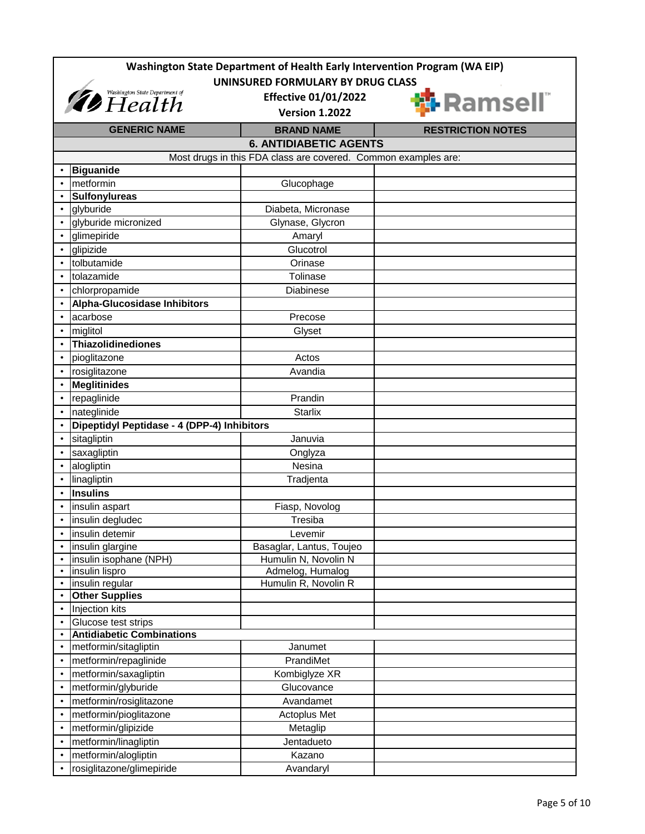| Washington State Department of Health Early Intervention Program (WA EIP)<br>UNINSURED FORMULARY BY DRUG CLASS |                                                         |                                                                |                          |
|----------------------------------------------------------------------------------------------------------------|---------------------------------------------------------|----------------------------------------------------------------|--------------------------|
|                                                                                                                | <i>Thealth Health</i>                                   | <b>Effective 01/01/2022</b><br><b>Version 1.2022</b>           | <b>1</b> Ramsell"        |
|                                                                                                                | <b>GENERIC NAME</b>                                     | <b>BRAND NAME</b>                                              | <b>RESTRICTION NOTES</b> |
|                                                                                                                |                                                         | <b>6. ANTIDIABETIC AGENTS</b>                                  |                          |
|                                                                                                                |                                                         | Most drugs in this FDA class are covered. Common examples are: |                          |
|                                                                                                                | <b>Biguanide</b>                                        |                                                                |                          |
|                                                                                                                | metformin                                               | Glucophage                                                     |                          |
|                                                                                                                | <b>Sulfonylureas</b>                                    |                                                                |                          |
|                                                                                                                | glyburide                                               | Diabeta, Micronase                                             |                          |
|                                                                                                                | glyburide micronized                                    | Glynase, Glycron                                               |                          |
|                                                                                                                | glimepiride                                             | Amaryl                                                         |                          |
|                                                                                                                | glipizide                                               | Glucotrol                                                      |                          |
|                                                                                                                | tolbutamide                                             | Orinase                                                        |                          |
|                                                                                                                | tolazamide                                              | Tolinase                                                       |                          |
|                                                                                                                | chlorpropamide                                          | <b>Diabinese</b>                                               |                          |
|                                                                                                                | <b>Alpha-Glucosidase Inhibitors</b>                     |                                                                |                          |
|                                                                                                                | acarbose                                                | Precose                                                        |                          |
|                                                                                                                | miglitol                                                | Glyset                                                         |                          |
|                                                                                                                | Thiazolidinediones                                      |                                                                |                          |
|                                                                                                                | pioglitazone                                            | Actos                                                          |                          |
|                                                                                                                | rosiglitazone                                           | Avandia                                                        |                          |
|                                                                                                                | <b>Meglitinides</b>                                     |                                                                |                          |
|                                                                                                                | repaglinide                                             | Prandin                                                        |                          |
|                                                                                                                | nateglinide                                             | <b>Starlix</b>                                                 |                          |
|                                                                                                                | Dipeptidyl Peptidase - 4 (DPP-4) Inhibitors             |                                                                |                          |
|                                                                                                                | sitagliptin                                             | Januvia                                                        |                          |
|                                                                                                                | saxagliptin                                             | Onglyza                                                        |                          |
|                                                                                                                | alogliptin                                              | Nesina                                                         |                          |
|                                                                                                                | linagliptin                                             | Tradjenta                                                      |                          |
|                                                                                                                | <b>Insulins</b>                                         |                                                                |                          |
|                                                                                                                | insulin aspart                                          | Fiasp, Novolog                                                 |                          |
|                                                                                                                | insulin degludec                                        | Tresiba                                                        |                          |
|                                                                                                                | insulin detemir                                         | Levemir                                                        |                          |
|                                                                                                                | insulin glargine                                        | Basaglar, Lantus, Toujeo                                       |                          |
|                                                                                                                | insulin isophane (NPH)                                  | Humulin N, Novolin N                                           |                          |
| $\bullet$                                                                                                      | insulin lispro                                          | Admelog, Humalog                                               |                          |
| $\bullet$                                                                                                      | insulin regular                                         | Humulin R, Novolin R                                           |                          |
|                                                                                                                | <b>Other Supplies</b>                                   |                                                                |                          |
| $\bullet$                                                                                                      | <b>Injection kits</b>                                   |                                                                |                          |
| $\bullet$                                                                                                      | Glucose test strips<br><b>Antidiabetic Combinations</b> |                                                                |                          |
|                                                                                                                | metformin/sitagliptin                                   | Janumet                                                        |                          |
|                                                                                                                | metformin/repaglinide                                   | PrandiMet                                                      |                          |
| $\bullet$                                                                                                      | metformin/saxagliptin                                   | Kombiglyze XR                                                  |                          |
|                                                                                                                | metformin/glyburide                                     | Glucovance                                                     |                          |
|                                                                                                                | metformin/rosiglitazone                                 | Avandamet                                                      |                          |
|                                                                                                                | metformin/pioglitazone                                  | Actoplus Met                                                   |                          |
|                                                                                                                | metformin/glipizide                                     | Metaglip                                                       |                          |
|                                                                                                                | metformin/linagliptin                                   | Jentadueto                                                     |                          |
|                                                                                                                | metformin/alogliptin                                    | Kazano                                                         |                          |
|                                                                                                                | rosiglitazone/glimepiride                               | Avandaryl                                                      |                          |
|                                                                                                                |                                                         |                                                                |                          |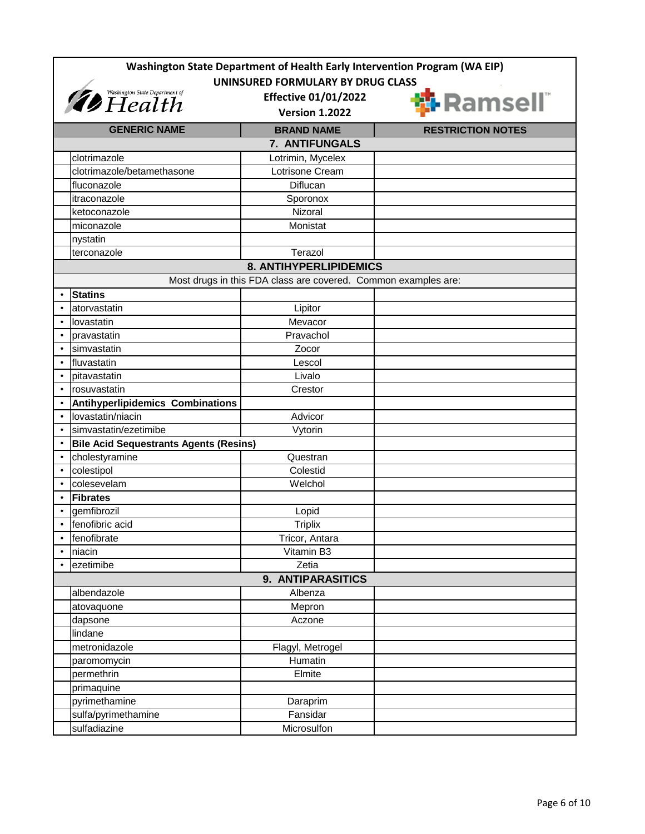| Washington State Department of Health Early Intervention Program (WA EIP) |                                                                |                          |  |
|---------------------------------------------------------------------------|----------------------------------------------------------------|--------------------------|--|
| UNINSURED FORMULARY BY DRUG CLASS                                         |                                                                |                          |  |
| <i><b>D</b></i> Health State Department of                                | <b>Effective 01/01/2022</b><br><b>Version 1.2022</b>           | <b>T</b> Ramsell"        |  |
|                                                                           |                                                                |                          |  |
| <b>GENERIC NAME</b>                                                       | <b>BRAND NAME</b>                                              | <b>RESTRICTION NOTES</b> |  |
|                                                                           | 7. ANTIFUNGALS                                                 |                          |  |
| clotrimazole                                                              | Lotrimin, Mycelex<br>Lotrisone Cream                           |                          |  |
| clotrimazole/betamethasone<br>fluconazole                                 | <b>Diflucan</b>                                                |                          |  |
| itraconazole                                                              |                                                                |                          |  |
| ketoconazole                                                              | Sporonox<br>Nizoral                                            |                          |  |
| miconazole                                                                | Monistat                                                       |                          |  |
| nystatin                                                                  |                                                                |                          |  |
| terconazole                                                               | Terazol                                                        |                          |  |
|                                                                           | <b>8. ANTIHYPERLIPIDEMICS</b>                                  |                          |  |
|                                                                           |                                                                |                          |  |
|                                                                           | Most drugs in this FDA class are covered. Common examples are: |                          |  |
| <b>Statins</b>                                                            |                                                                |                          |  |
| atorvastatin<br>$\bullet$                                                 | Lipitor                                                        |                          |  |
| lovastatin                                                                | Mevacor                                                        |                          |  |
| pravastatin                                                               | Pravachol                                                      |                          |  |
| simvastatin                                                               | Zocor                                                          |                          |  |
| fluvastatin                                                               | Lescol                                                         |                          |  |
| pitavastatin                                                              | Livalo                                                         |                          |  |
| rosuvastatin                                                              | Crestor                                                        |                          |  |
| <b>Antihyperlipidemics Combinations</b>                                   |                                                                |                          |  |
| lovastatin/niacin                                                         | Advicor                                                        |                          |  |
| simvastatin/ezetimibe                                                     | Vytorin                                                        |                          |  |
| <b>Bile Acid Sequestrants Agents (Resins)</b>                             |                                                                |                          |  |
| cholestyramine                                                            | Questran                                                       |                          |  |
| colestipol<br>$\bullet$                                                   | Colestid                                                       |                          |  |
| colesevelam                                                               | Welchol                                                        |                          |  |
| <b>Fibrates</b>                                                           |                                                                |                          |  |
| gemfibrozil                                                               | Lopid                                                          |                          |  |
| fenofibric acid                                                           | <b>Triplix</b>                                                 |                          |  |
| fenofibrate                                                               | Tricor, Antara                                                 |                          |  |
| niacin                                                                    | Vitamin B3                                                     |                          |  |
| ezetimibe                                                                 | Zetia                                                          |                          |  |
|                                                                           | 9. ANTIPARASITICS                                              |                          |  |
| albendazole                                                               | Albenza                                                        |                          |  |
| atovaquone                                                                | Mepron                                                         |                          |  |
| dapsone                                                                   | Aczone                                                         |                          |  |
| lindane                                                                   |                                                                |                          |  |
| metronidazole                                                             | Flagyl, Metrogel                                               |                          |  |
| paromomycin                                                               | Humatin                                                        |                          |  |
| permethrin                                                                | Elmite                                                         |                          |  |
| primaquine                                                                |                                                                |                          |  |
| pyrimethamine                                                             | Daraprim                                                       |                          |  |
| sulfa/pyrimethamine                                                       | Fansidar                                                       |                          |  |
| sulfadiazine                                                              | Microsulfon                                                    |                          |  |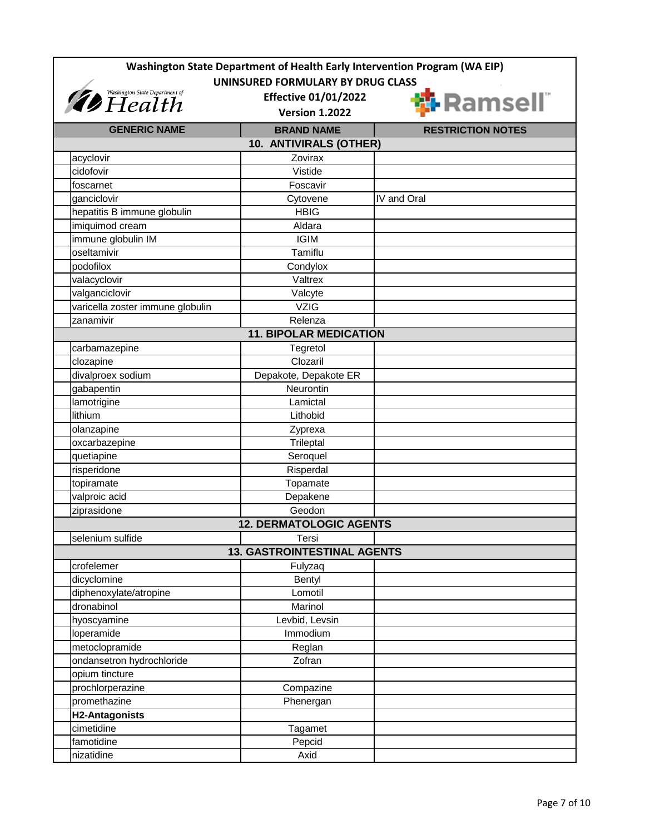| Washington State Department of Health Early Intervention Program (WA EIP)<br>UNINSURED FORMULARY BY DRUG CLASS |                                    |                           |  |
|----------------------------------------------------------------------------------------------------------------|------------------------------------|---------------------------|--|
| Washington State Department of<br><b>Effective 01/01/2022</b>                                                  |                                    | <mark>:</mark> I-Ramsell® |  |
|                                                                                                                | <b>Version 1.2022</b>              |                           |  |
| <b>GENERIC NAME</b>                                                                                            | <b>BRAND NAME</b>                  | <b>RESTRICTION NOTES</b>  |  |
|                                                                                                                | 10. ANTIVIRALS (OTHER)             |                           |  |
| acyclovir                                                                                                      | Zovirax                            |                           |  |
| cidofovir                                                                                                      | Vistide                            |                           |  |
| foscarnet                                                                                                      | Foscavir                           |                           |  |
| ganciclovir                                                                                                    | Cytovene                           | IV and Oral               |  |
| hepatitis B immune globulin                                                                                    | <b>HBIG</b>                        |                           |  |
| imiquimod cream                                                                                                | Aldara                             |                           |  |
| immune globulin IM                                                                                             | <b>IGIM</b>                        |                           |  |
| oseltamivir                                                                                                    | Tamiflu                            |                           |  |
| podofilox                                                                                                      | Condylox                           |                           |  |
| valacyclovir                                                                                                   | Valtrex                            |                           |  |
| valganciclovir                                                                                                 | Valcyte                            |                           |  |
| varicella zoster immune globulin                                                                               | <b>VZIG</b>                        |                           |  |
| zanamivir                                                                                                      | Relenza                            |                           |  |
|                                                                                                                | <b>11. BIPOLAR MEDICATION</b>      |                           |  |
| carbamazepine                                                                                                  | Tegretol                           |                           |  |
| clozapine                                                                                                      | Clozaril                           |                           |  |
| divalproex sodium                                                                                              | Depakote, Depakote ER              |                           |  |
| gabapentin                                                                                                     | Neurontin                          |                           |  |
| lamotrigine                                                                                                    | Lamictal                           |                           |  |
| lithium                                                                                                        | Lithobid                           |                           |  |
| olanzapine                                                                                                     | Zyprexa                            |                           |  |
| oxcarbazepine                                                                                                  | Trileptal                          |                           |  |
| quetiapine                                                                                                     | Seroquel                           |                           |  |
| risperidone                                                                                                    | Risperdal                          |                           |  |
| topiramate                                                                                                     | Topamate                           |                           |  |
| valproic acid                                                                                                  | Depakene                           |                           |  |
| ziprasidone                                                                                                    | Geodon                             |                           |  |
|                                                                                                                | <b>12. DERMATOLOGIC AGENTS</b>     |                           |  |
| selenium sulfide                                                                                               | Tersi                              |                           |  |
|                                                                                                                | <b>13. GASTROINTESTINAL AGENTS</b> |                           |  |
| crofelemer                                                                                                     | Fulyzaq                            |                           |  |
| dicyclomine                                                                                                    | Bentyl                             |                           |  |
| diphenoxylate/atropine                                                                                         | Lomotil                            |                           |  |
| dronabinol                                                                                                     | Marinol                            |                           |  |
| hyoscyamine                                                                                                    | Levbid, Levsin                     |                           |  |
| loperamide                                                                                                     | Immodium                           |                           |  |
| metoclopramide                                                                                                 | Reglan                             |                           |  |
| ondansetron hydrochloride                                                                                      | Zofran                             |                           |  |
| opium tincture                                                                                                 |                                    |                           |  |
| prochlorperazine                                                                                               | Compazine                          |                           |  |
| promethazine                                                                                                   | Phenergan                          |                           |  |
| H2-Antagonists                                                                                                 |                                    |                           |  |
| cimetidine                                                                                                     | Tagamet                            |                           |  |
| famotidine                                                                                                     | Pepcid                             |                           |  |
| nizatidine                                                                                                     | Axid                               |                           |  |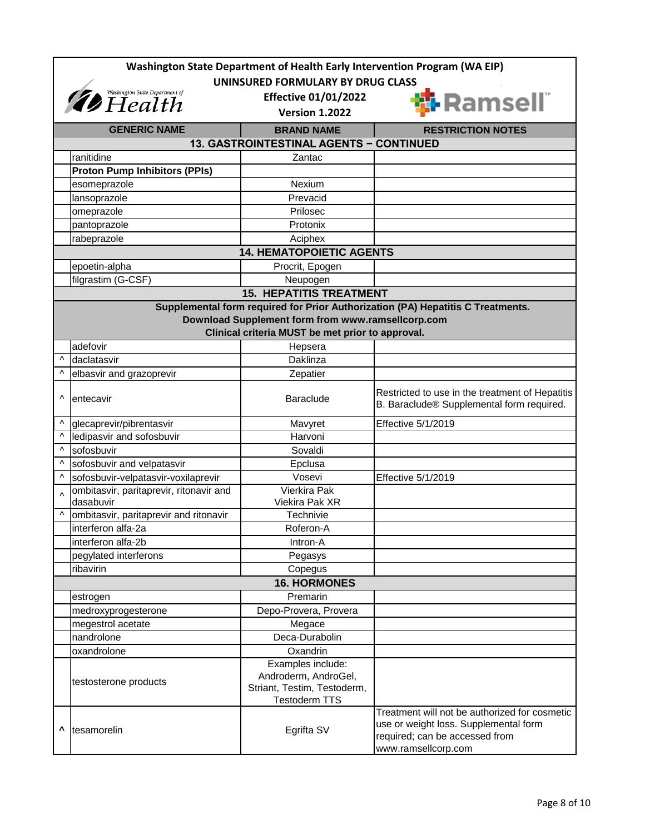|           | Washington State Department of Health Early Intervention Program (WA EIP) |                                                                                                  |                                                                                                                                                 |  |
|-----------|---------------------------------------------------------------------------|--------------------------------------------------------------------------------------------------|-------------------------------------------------------------------------------------------------------------------------------------------------|--|
|           | UNINSURED FORMULARY BY DRUG CLASS                                         |                                                                                                  |                                                                                                                                                 |  |
|           | <i><b><i>Ab</i></b> Washington State Department of <b>Ab</b></i> $He$     | <b>Effective 01/01/2022</b><br><b>Version 1.2022</b>                                             | <mark>:</mark> Ramsell®                                                                                                                         |  |
|           | <b>GENERIC NAME</b>                                                       | <b>BRAND NAME</b>                                                                                | <b>RESTRICTION NOTES</b>                                                                                                                        |  |
|           |                                                                           | <b>13. GASTROINTESTINAL AGENTS - CONTINUED</b>                                                   |                                                                                                                                                 |  |
|           | ranitidine                                                                | Zantac                                                                                           |                                                                                                                                                 |  |
|           | <b>Proton Pump Inhibitors (PPIs)</b>                                      |                                                                                                  |                                                                                                                                                 |  |
|           | esomeprazole                                                              | Nexium                                                                                           |                                                                                                                                                 |  |
|           | lansoprazole                                                              | Prevacid                                                                                         |                                                                                                                                                 |  |
|           | omeprazole                                                                | Prilosec                                                                                         |                                                                                                                                                 |  |
|           | pantoprazole                                                              | Protonix                                                                                         |                                                                                                                                                 |  |
|           | rabeprazole                                                               | Aciphex                                                                                          |                                                                                                                                                 |  |
|           |                                                                           | <b>14. HEMATOPOIETIC AGENTS</b>                                                                  |                                                                                                                                                 |  |
|           | epoetin-alpha                                                             | Procrit, Epogen                                                                                  |                                                                                                                                                 |  |
|           | filgrastim (G-CSF)                                                        | Neupogen                                                                                         |                                                                                                                                                 |  |
|           |                                                                           | <b>15. HEPATITIS TREATMENT</b>                                                                   |                                                                                                                                                 |  |
|           |                                                                           |                                                                                                  | Supplemental form required for Prior Authorization (PA) Hepatitis C Treatments.                                                                 |  |
|           |                                                                           | Download Supplement form from www.ramsellcorp.com                                                |                                                                                                                                                 |  |
|           |                                                                           | Clinical criteria MUST be met prior to approval.                                                 |                                                                                                                                                 |  |
|           | adefovir                                                                  | Hepsera                                                                                          |                                                                                                                                                 |  |
| Λ         | daclatasvir                                                               | Daklinza                                                                                         |                                                                                                                                                 |  |
| ۸         | elbasvir and grazoprevir                                                  | Zepatier                                                                                         |                                                                                                                                                 |  |
| Λ         | entecavir                                                                 | <b>Baraclude</b>                                                                                 | Restricted to use in the treatment of Hepatitis<br>B. Baraclude® Supplemental form required.                                                    |  |
| Λ         | glecaprevir/pibrentasvir                                                  | Mavyret                                                                                          | Effective 5/1/2019                                                                                                                              |  |
| Λ         | ledipasvir and sofosbuvir                                                 | Harvoni                                                                                          |                                                                                                                                                 |  |
| Λ         | sofosbuvir                                                                | Sovaldi                                                                                          |                                                                                                                                                 |  |
| Λ         | sofosbuvir and velpatasvir                                                | Epclusa                                                                                          |                                                                                                                                                 |  |
| $\wedge$  | sofosbuvir-velpatasvir-voxilaprevir                                       | Vosevi                                                                                           | Effective 5/1/2019                                                                                                                              |  |
| $\lambda$ | ombitasvir, paritaprevir, ritonavir and                                   | <b>Vierkira Pak</b>                                                                              |                                                                                                                                                 |  |
|           | dasabuvir                                                                 | Viekira Pak XR                                                                                   |                                                                                                                                                 |  |
| $\wedge$  | ombitasvir, paritaprevir and ritonavir                                    | Technivie                                                                                        |                                                                                                                                                 |  |
|           | interferon alfa-2a                                                        | Roferon-A                                                                                        |                                                                                                                                                 |  |
|           | interferon alfa-2b                                                        | Intron-A                                                                                         |                                                                                                                                                 |  |
|           | pegylated interferons                                                     | Pegasys                                                                                          |                                                                                                                                                 |  |
|           | ribavirin                                                                 | Copegus                                                                                          |                                                                                                                                                 |  |
|           |                                                                           | <b>16. HORMONES</b>                                                                              |                                                                                                                                                 |  |
|           | estrogen                                                                  | Premarin                                                                                         |                                                                                                                                                 |  |
|           | medroxyprogesterone                                                       | Depo-Provera, Provera                                                                            |                                                                                                                                                 |  |
|           | megestrol acetate                                                         | Megace                                                                                           |                                                                                                                                                 |  |
|           | nandrolone                                                                | Deca-Durabolin                                                                                   |                                                                                                                                                 |  |
|           | oxandrolone                                                               | Oxandrin                                                                                         |                                                                                                                                                 |  |
|           | testosterone products                                                     | Examples include:<br>Androderm, AndroGel,<br>Striant, Testim, Testoderm,<br><b>Testoderm TTS</b> |                                                                                                                                                 |  |
| ٨         | tesamorelin                                                               | Egrifta SV                                                                                       | Treatment will not be authorized for cosmetic<br>use or weight loss. Supplemental form<br>required; can be accessed from<br>www.ramsellcorp.com |  |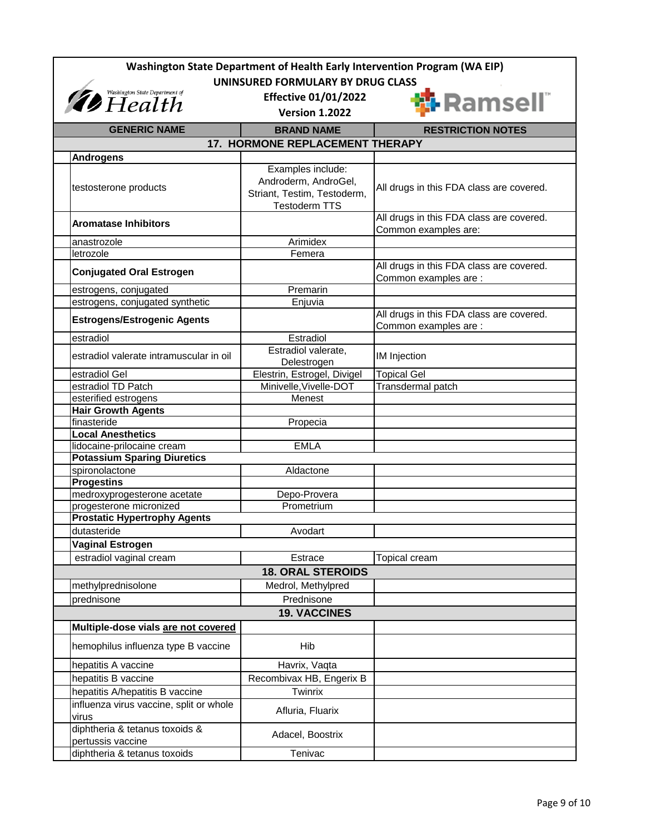| Washington State Department of Health Early Intervention Program (WA EIP) |                                  |                                          |  |
|---------------------------------------------------------------------------|----------------------------------|------------------------------------------|--|
| UNINSURED FORMULARY BY DRUG CLASS                                         |                                  |                                          |  |
| <i>Thealth</i> Washington State Department of                             | <b>Effective 01/01/2022</b>      | <b>i</b> Ramsell"                        |  |
|                                                                           | <b>Version 1.2022</b>            |                                          |  |
| <b>GENERIC NAME</b>                                                       | <b>BRAND NAME</b>                | <b>RESTRICTION NOTES</b>                 |  |
|                                                                           | 17. HORMONE REPLACEMENT THERAPY  |                                          |  |
| <b>Androgens</b>                                                          |                                  |                                          |  |
|                                                                           | Examples include:                |                                          |  |
|                                                                           | Androderm, AndroGel,             |                                          |  |
| testosterone products                                                     | Striant, Testim, Testoderm,      | All drugs in this FDA class are covered. |  |
|                                                                           | <b>Testoderm TTS</b>             |                                          |  |
| <b>Aromatase Inhibitors</b>                                               |                                  | All drugs in this FDA class are covered. |  |
| anastrozole                                                               | Arimidex                         | Common examples are:                     |  |
| letrozole                                                                 | Femera                           |                                          |  |
|                                                                           |                                  | All drugs in this FDA class are covered. |  |
| <b>Conjugated Oral Estrogen</b>                                           |                                  | Common examples are :                    |  |
| estrogens, conjugated                                                     | Premarin                         |                                          |  |
| estrogens, conjugated synthetic                                           | Enjuvia                          |                                          |  |
| <b>Estrogens/Estrogenic Agents</b>                                        |                                  | All drugs in this FDA class are covered. |  |
|                                                                           |                                  | Common examples are :                    |  |
| estradiol                                                                 | Estradiol<br>Estradiol valerate, |                                          |  |
| estradiol valerate intramuscular in oil                                   | Delestrogen                      | IM Injection                             |  |
| estradiol Gel                                                             | Elestrin, Estrogel, Divigel      | <b>Topical Gel</b>                       |  |
| estradiol TD Patch                                                        | Minivelle, Vivelle-DOT           | Transdermal patch                        |  |
| esterified estrogens                                                      | Menest                           |                                          |  |
| <b>Hair Growth Agents</b>                                                 |                                  |                                          |  |
| finasteride                                                               | Propecia                         |                                          |  |
| <b>Local Anesthetics</b>                                                  |                                  |                                          |  |
| lidocaine-prilocaine cream                                                | <b>EMLA</b>                      |                                          |  |
| <b>Potassium Sparing Diuretics</b><br>spironolactone                      | Aldactone                        |                                          |  |
| <b>Progestins</b>                                                         |                                  |                                          |  |
| medroxyprogesterone acetate                                               | Depo-Provera                     |                                          |  |
| progesterone micronized                                                   | Prometrium                       |                                          |  |
| <b>Prostatic Hypertrophy Agents</b>                                       |                                  |                                          |  |
| dutasteride                                                               | Avodart                          |                                          |  |
| Vaginal Estrogen                                                          |                                  |                                          |  |
| estradiol vaginal cream                                                   | Estrace                          | <b>Topical cream</b>                     |  |
|                                                                           | <b>18. ORAL STEROIDS</b>         |                                          |  |
| methylprednisolone                                                        | Medrol, Methylpred               |                                          |  |
| prednisone                                                                | Prednisone                       |                                          |  |
|                                                                           | <b>19. VACCINES</b>              |                                          |  |
| Multiple-dose vials are not covered                                       |                                  |                                          |  |
| hemophilus influenza type B vaccine                                       | Hib                              |                                          |  |
| hepatitis A vaccine                                                       | Havrix, Vaqta                    |                                          |  |
| hepatitis B vaccine                                                       | Recombivax HB, Engerix B         |                                          |  |
| hepatitis A/hepatitis B vaccine                                           | Twinrix                          |                                          |  |
| influenza virus vaccine, split or whole<br>virus                          | Afluria, Fluarix                 |                                          |  |
| diphtheria & tetanus toxoids &<br>pertussis vaccine                       | Adacel, Boostrix                 |                                          |  |
| diphtheria & tetanus toxoids                                              | Tenivac                          |                                          |  |